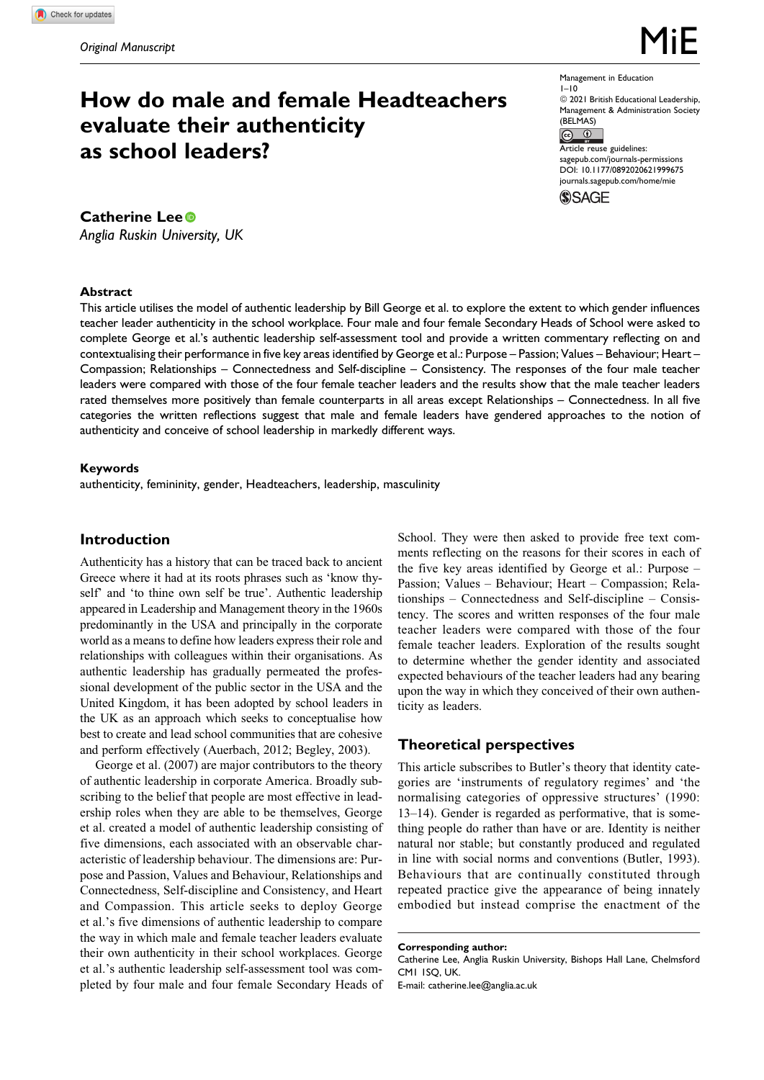# **How do male and female Headteachers evaluate their authenticity as school leaders?**

**Catherine Lee**

*Anglia Ruskin University, UK*

Management in Education 1–10  $@ 2021$  British Educational Leadership, Management & Administration Society  $(BELMAS)$ <br> $(C)$ Article reuse guidelines: [sagepub.com/journals-permissions](https://sagepub.com/journals-permissions) [DOI: 10.1177/0892020621999675](https://doi.org/10.1177/0892020621999675)

[journals.sagepub.com/home/mie](http://journals.sagepub.com/home/mie)

**SSAGE** 

**Abstract** This article utilises the model of authentic leadership by Bill George et al. to explore the extent to which gender influences teacher leader authenticity in the school workplace. Four male and four female Secondary Heads of School were asked to complete George et al.'s authentic leadership self-assessment tool and provide a written commentary reflecting on and contextualising their performance in five key areas identified by George et al.: Purpose – Passion; Values – Behaviour; Heart – Compassion; Relationships – Connectedness and Self-discipline – Consistency. The responses of the four male teacher leaders were compared with those of the four female teacher leaders and the results show that the male teacher leaders rated themselves more positively than female counterparts in all areas except Relationships – Connectedness. In all five categories the written reflections suggest that male and female leaders have gendered approaches to the notion of authenticity and conceive of school leadership in markedly different ways.

## **Keywords**

authenticity, femininity, gender, Headteachers, leadership, masculinity

# **Introduction**

Authenticity has a history that can be traced back to ancient Greece where it had at its roots phrases such as 'know thyself' and 'to thine own self be true'. Authentic leadership appeared in Leadership and Management theory in the 1960s predominantly in the USA and principally in the corporate world as a means to define how leaders express their role and relationships with colleagues within their organisations. As authentic leadership has gradually permeated the professional development of the public sector in the USA and the United Kingdom, it has been adopted by school leaders in the UK as an approach which seeks to conceptualise how best to create and lead school communities that are cohesive and perform effectively (Auerbach, 2012; Begley, 2003).

George et al. (2007) are major contributors to the theory of authentic leadership in corporate America. Broadly subscribing to the belief that people are most effective in leadership roles when they are able to be themselves, George et al. created a model of authentic leadership consisting of five dimensions, each associated with an observable characteristic of leadership behaviour. The dimensions are: Purpose and Passion, Values and Behaviour, Relationships and Connectedness, Self-discipline and Consistency, and Heart and Compassion. This article seeks to deploy George et al.'s five dimensions of authentic leadership to compare the way in which male and female teacher leaders evaluate their own authenticity in their school workplaces. George et al.'s authentic leadership self-assessment tool was completed by four male and four female Secondary Heads of School. They were then asked to provide free text comments reflecting on the reasons for their scores in each of the five key areas identified by George et al.: Purpose – Passion; Values – Behaviour; Heart – Compassion; Relationships – Connectedness and Self-discipline – Consistency. The scores and written responses of the four male teacher leaders were compared with those of the four female teacher leaders. Exploration of the results sought to determine whether the gender identity and associated expected behaviours of the teacher leaders had any bearing upon the way in which they conceived of their own authenticity as leaders.

# **Theoretical perspectives**

This article subscribes to Butler's theory that identity categories are 'instruments of regulatory regimes' and 'the normalising categories of oppressive structures' (1990: 13–14). Gender is regarded as performative, that is something people do rather than have or are. Identity is neither natural nor stable; but constantly produced and regulated in line with social norms and conventions (Butler, 1993). Behaviours that are continually constituted through repeated practice give the appearance of being innately embodied but instead comprise the enactment of the

**Corresponding author:** Catherine Lee, Anglia Ruskin University, Bishops Hall Lane, Chelmsford CM1 1SQ, UK. E-mail: [catherine.lee@anglia.ac.uk](mailto:catherine.lee@anglia.ac.uk)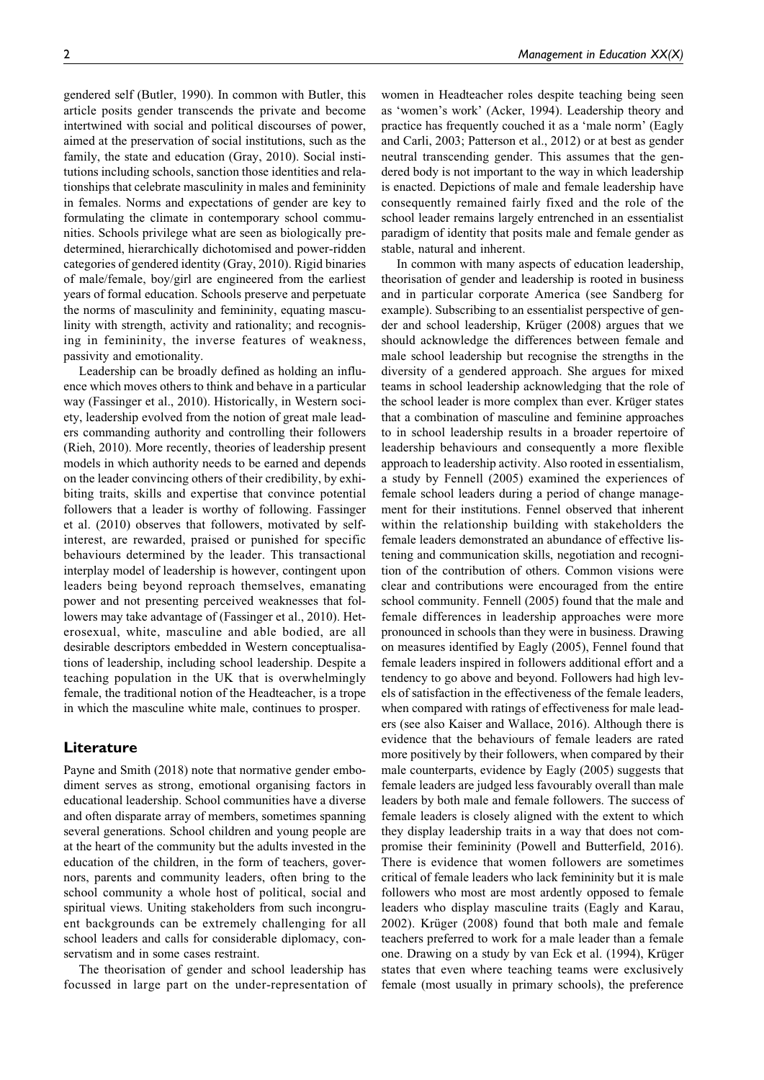gendered self (Butler, 1990). In common with Butler, this article posits gender transcends the private and become intertwined with social and political discourses of power, aimed at the preservation of social institutions, such as the family, the state and education (Gray, 2010). Social institutions including schools, sanction those identities and relationships that celebrate masculinity in males and femininity in females. Norms and expectations of gender are key to formulating the climate in contemporary school communities. Schools privilege what are seen as biologically predetermined, hierarchically dichotomised and power-ridden categories of gendered identity (Gray, 2010). Rigid binaries of male/female, boy/girl are engineered from the earliest years of formal education. Schools preserve and perpetuate the norms of masculinity and femininity, equating masculinity with strength, activity and rationality; and recognising in femininity, the inverse features of weakness, passivity and emotionality.

Leadership can be broadly defined as holding an influence which moves others to think and behave in a particular way (Fassinger et al., 2010). Historically, in Western society, leadership evolved from the notion of great male leaders commanding authority and controlling their followers (Rieh, 2010). More recently, theories of leadership present models in which authority needs to be earned and depends on the leader convincing others of their credibility, by exhibiting traits, skills and expertise that convince potential followers that a leader is worthy of following. Fassinger et al. (2010) observes that followers, motivated by selfinterest, are rewarded, praised or punished for specific behaviours determined by the leader. This transactional interplay model of leadership is however, contingent upon leaders being beyond reproach themselves, emanating power and not presenting perceived weaknesses that followers may take advantage of (Fassinger et al., 2010). Heterosexual, white, masculine and able bodied, are all desirable descriptors embedded in Western conceptualisations of leadership, including school leadership. Despite a teaching population in the UK that is overwhelmingly female, the traditional notion of the Headteacher, is a trope in which the masculine white male, continues to prosper.

## **Literature**

Payne and Smith (2018) note that normative gender embodiment serves as strong, emotional organising factors in educational leadership. School communities have a diverse and often disparate array of members, sometimes spanning several generations. School children and young people are at the heart of the community but the adults invested in the education of the children, in the form of teachers, governors, parents and community leaders, often bring to the school community a whole host of political, social and spiritual views. Uniting stakeholders from such incongruent backgrounds can be extremely challenging for all school leaders and calls for considerable diplomacy, conservatism and in some cases restraint.

The theorisation of gender and school leadership has focussed in large part on the under-representation of

women in Headteacher roles despite teaching being seen as 'women's work' (Acker, 1994). Leadership theory and practice has frequently couched it as a 'male norm' (Eagly and Carli, 2003; Patterson et al., 2012) or at best as gender neutral transcending gender. This assumes that the gendered body is not important to the way in which leadership is enacted. Depictions of male and female leadership have consequently remained fairly fixed and the role of the school leader remains largely entrenched in an essentialist paradigm of identity that posits male and female gender as stable, natural and inherent.

In common with many aspects of education leadership, theorisation of gender and leadership is rooted in business and in particular corporate America (see Sandberg for example). Subscribing to an essentialist perspective of gender and school leadership, Krüger (2008) argues that we should acknowledge the differences between female and male school leadership but recognise the strengths in the diversity of a gendered approach. She argues for mixed teams in school leadership acknowledging that the role of the school leader is more complex than ever. Krüger states that a combination of masculine and feminine approaches to in school leadership results in a broader repertoire of leadership behaviours and consequently a more flexible approach to leadership activity. Also rooted in essentialism, a study by Fennell (2005) examined the experiences of female school leaders during a period of change management for their institutions. Fennel observed that inherent within the relationship building with stakeholders the female leaders demonstrated an abundance of effective listening and communication skills, negotiation and recognition of the contribution of others. Common visions were clear and contributions were encouraged from the entire school community. Fennell (2005) found that the male and female differences in leadership approaches were more pronounced in schools than they were in business. Drawing on measures identified by Eagly (2005), Fennel found that female leaders inspired in followers additional effort and a tendency to go above and beyond. Followers had high levels of satisfaction in the effectiveness of the female leaders, when compared with ratings of effectiveness for male leaders (see also Kaiser and Wallace, 2016). Although there is evidence that the behaviours of female leaders are rated more positively by their followers, when compared by their male counterparts, evidence by Eagly (2005) suggests that female leaders are judged less favourably overall than male leaders by both male and female followers. The success of female leaders is closely aligned with the extent to which they display leadership traits in a way that does not compromise their femininity (Powell and Butterfield, 2016). There is evidence that women followers are sometimes critical of female leaders who lack femininity but it is male followers who most are most ardently opposed to female leaders who display masculine traits (Eagly and Karau, 2002). Krüger (2008) found that both male and female teachers preferred to work for a male leader than a female one. Drawing on a study by van Eck et al. (1994), Krüger states that even where teaching teams were exclusively female (most usually in primary schools), the preference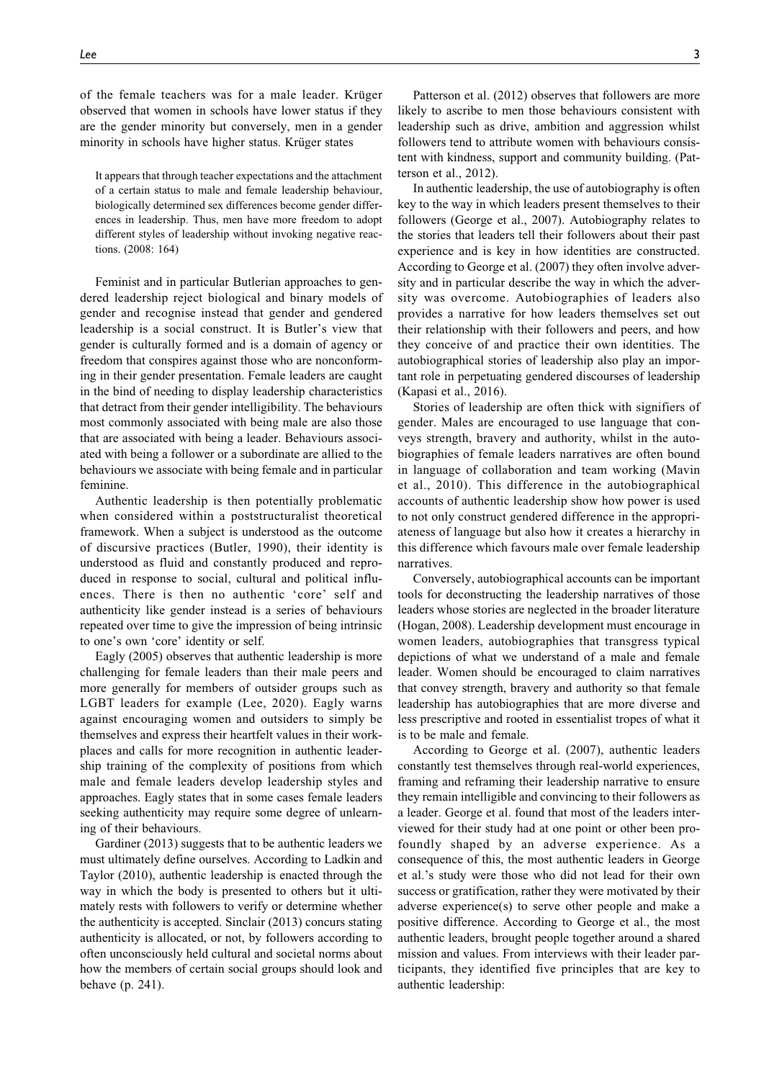of the female teachers was for a male leader. Krüger observed that women in schools have lower status if they are the gender minority but conversely, men in a gender minority in schools have higher status. Krüger states

It appears that through teacher expectations and the attachment of a certain status to male and female leadership behaviour, biologically determined sex differences become gender differences in leadership. Thus, men have more freedom to adopt different styles of leadership without invoking negative reactions. (2008: 164)

Feminist and in particular Butlerian approaches to gendered leadership reject biological and binary models of gender and recognise instead that gender and gendered leadership is a social construct. It is Butler's view that gender is culturally formed and is a domain of agency or freedom that conspires against those who are nonconforming in their gender presentation. Female leaders are caught in the bind of needing to display leadership characteristics that detract from their gender intelligibility. The behaviours most commonly associated with being male are also those that are associated with being a leader. Behaviours associated with being a follower or a subordinate are allied to the behaviours we associate with being female and in particular feminine.

Authentic leadership is then potentially problematic when considered within a poststructuralist theoretical framework. When a subject is understood as the outcome of discursive practices (Butler, 1990), their identity is understood as fluid and constantly produced and reproduced in response to social, cultural and political influences. There is then no authentic 'core' self and authenticity like gender instead is a series of behaviours repeated over time to give the impression of being intrinsic to one's own 'core' identity or self.

Eagly (2005) observes that authentic leadership is more challenging for female leaders than their male peers and more generally for members of outsider groups such as LGBT leaders for example (Lee, 2020). Eagly warns against encouraging women and outsiders to simply be themselves and express their heartfelt values in their workplaces and calls for more recognition in authentic leadership training of the complexity of positions from which male and female leaders develop leadership styles and approaches. Eagly states that in some cases female leaders seeking authenticity may require some degree of unlearning of their behaviours.

Gardiner (2013) suggests that to be authentic leaders we must ultimately define ourselves. According to Ladkin and Taylor (2010), authentic leadership is enacted through the way in which the body is presented to others but it ultimately rests with followers to verify or determine whether the authenticity is accepted. Sinclair (2013) concurs stating authenticity is allocated, or not, by followers according to often unconsciously held cultural and societal norms about how the members of certain social groups should look and behave (p. 241).

Patterson et al. (2012) observes that followers are more likely to ascribe to men those behaviours consistent with leadership such as drive, ambition and aggression whilst followers tend to attribute women with behaviours consistent with kindness, support and community building. (Patterson et al., 2012).

In authentic leadership, the use of autobiography is often key to the way in which leaders present themselves to their followers (George et al., 2007). Autobiography relates to the stories that leaders tell their followers about their past experience and is key in how identities are constructed. According to George et al. (2007) they often involve adversity and in particular describe the way in which the adversity was overcome. Autobiographies of leaders also provides a narrative for how leaders themselves set out their relationship with their followers and peers, and how they conceive of and practice their own identities. The autobiographical stories of leadership also play an important role in perpetuating gendered discourses of leadership (Kapasi et al., 2016).

Stories of leadership are often thick with signifiers of gender. Males are encouraged to use language that conveys strength, bravery and authority, whilst in the autobiographies of female leaders narratives are often bound in language of collaboration and team working (Mavin et al., 2010). This difference in the autobiographical accounts of authentic leadership show how power is used to not only construct gendered difference in the appropriateness of language but also how it creates a hierarchy in this difference which favours male over female leadership narratives.

Conversely, autobiographical accounts can be important tools for deconstructing the leadership narratives of those leaders whose stories are neglected in the broader literature (Hogan, 2008). Leadership development must encourage in women leaders, autobiographies that transgress typical depictions of what we understand of a male and female leader. Women should be encouraged to claim narratives that convey strength, bravery and authority so that female leadership has autobiographies that are more diverse and less prescriptive and rooted in essentialist tropes of what it is to be male and female.

According to George et al. (2007), authentic leaders constantly test themselves through real-world experiences, framing and reframing their leadership narrative to ensure they remain intelligible and convincing to their followers as a leader. George et al. found that most of the leaders interviewed for their study had at one point or other been profoundly shaped by an adverse experience. As a consequence of this, the most authentic leaders in George et al.'s study were those who did not lead for their own success or gratification, rather they were motivated by their adverse experience(s) to serve other people and make a positive difference. According to George et al., the most authentic leaders, brought people together around a shared mission and values. From interviews with their leader participants, they identified five principles that are key to authentic leadership: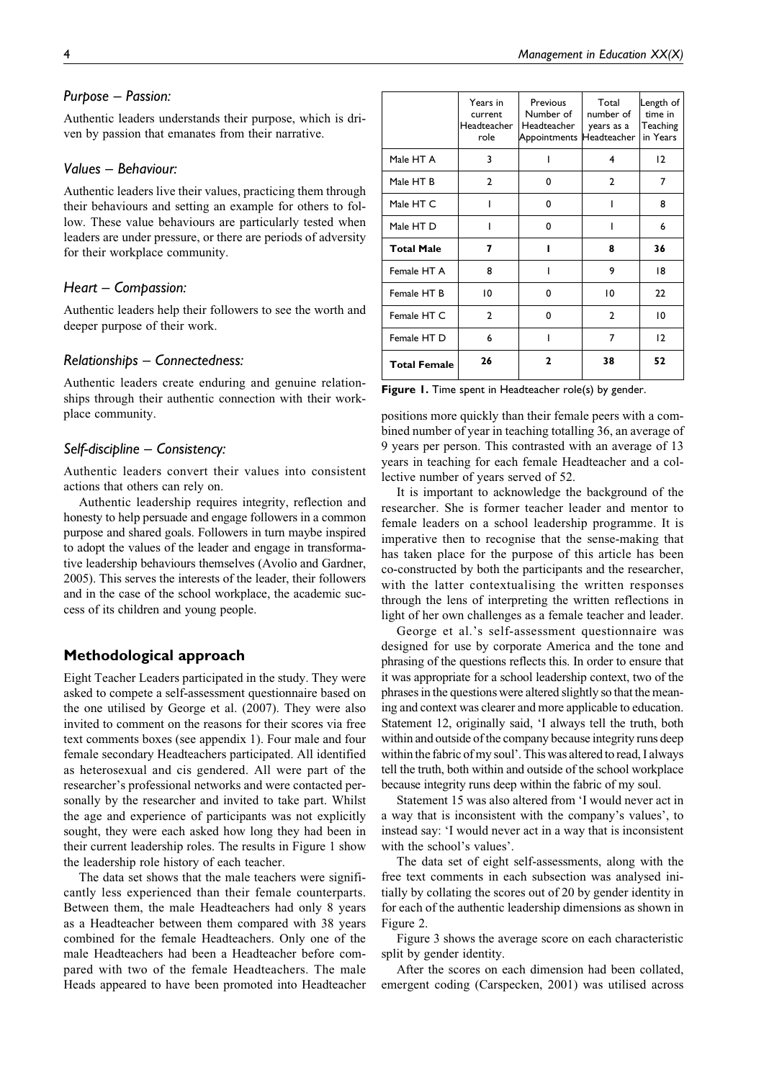# *Purpose – Passion:*

Authentic leaders understands their purpose, which is driven by passion that emanates from their narrative.

## *Values – Behaviour:*

Authentic leaders live their values, practicing them through their behaviours and setting an example for others to follow. These value behaviours are particularly tested when leaders are under pressure, or there are periods of adversity for their workplace community.

## *Heart – Compassion:*

Authentic leaders help their followers to see the worth and deeper purpose of their work.

# *Relationships – Connectedness:*

Authentic leaders create enduring and genuine relationships through their authentic connection with their workplace community.

# *Self-discipline – Consistency:*

Authentic leaders convert their values into consistent actions that others can rely on.

Authentic leadership requires integrity, reflection and honesty to help persuade and engage followers in a common purpose and shared goals. Followers in turn maybe inspired to adopt the values of the leader and engage in transformative leadership behaviours themselves (Avolio and Gardner, 2005). This serves the interests of the leader, their followers and in the case of the school workplace, the academic success of its children and young people.

# **Methodological approach**

Eight Teacher Leaders participated in the study. They were asked to compete a self-assessment questionnaire based on the one utilised by George et al. (2007). They were also invited to comment on the reasons for their scores via free text comments boxes (see appendix 1). Four male and four female secondary Headteachers participated. All identified as heterosexual and cis gendered. All were part of the researcher's professional networks and were contacted personally by the researcher and invited to take part. Whilst the age and experience of participants was not explicitly sought, they were each asked how long they had been in their current leadership roles. The results in Figure 1 show the leadership role history of each teacher.

The data set shows that the male teachers were significantly less experienced than their female counterparts. Between them, the male Headteachers had only 8 years as a Headteacher between them compared with 38 years combined for the female Headteachers. Only one of the male Headteachers had been a Headteacher before compared with two of the female Headteachers. The male Heads appeared to have been promoted into Headteacher

|                     | Years in<br>current<br>Headteacher<br>role | Previous<br>Number of<br>Headteacher<br>Appointments Headteacher | Total<br>number of<br>years as a | Length of<br>time in<br>Teaching<br>in Years |
|---------------------|--------------------------------------------|------------------------------------------------------------------|----------------------------------|----------------------------------------------|
| Male HT A           | 3                                          |                                                                  | 4                                | 12                                           |
| Male HT B           | $\mathbf{2}$                               | 0                                                                | $\mathbf{2}$                     | 7                                            |
| Male HT C           |                                            | 0                                                                |                                  | 8                                            |
| Male HT D           |                                            | 0                                                                |                                  | 6                                            |
| <b>Total Male</b>   | 7                                          |                                                                  | 8                                | 36                                           |
| Female HT A         | 8                                          |                                                                  | 9                                | 18                                           |
| Female HT B         | 10                                         | 0                                                                | 10                               | 22                                           |
| Female HT C         | $\mathbf{2}$                               | 0                                                                | $\mathbf{2}$                     | 10                                           |
| Female HT D         | 6                                          |                                                                  | 7                                | 12                                           |
| <b>Total Female</b> | 26                                         | $\mathbf{z}$                                                     | 38                               | 52                                           |

**Figure 1.** Time spent in Headteacher role(s) by gender.

positions more quickly than their female peers with a combined number of year in teaching totalling 36, an average of 9 years per person. This contrasted with an average of 13 years in teaching for each female Headteacher and a collective number of years served of 52.

It is important to acknowledge the background of the researcher. She is former teacher leader and mentor to female leaders on a school leadership programme. It is imperative then to recognise that the sense-making that has taken place for the purpose of this article has been co-constructed by both the participants and the researcher, with the latter contextualising the written responses through the lens of interpreting the written reflections in light of her own challenges as a female teacher and leader.

George et al.'s self-assessment questionnaire was designed for use by corporate America and the tone and phrasing of the questions reflects this. In order to ensure that it was appropriate for a school leadership context, two of the phrases in the questions were altered slightly so that the meaning and context was clearer and more applicable to education. Statement 12, originally said, 'I always tell the truth, both within and outside of the company because integrity runs deep within the fabric of my soul'. This was altered to read, I always tell the truth, both within and outside of the school workplace because integrity runs deep within the fabric of my soul.

Statement 15 was also altered from 'I would never act in a way that is inconsistent with the company's values', to instead say: 'I would never act in a way that is inconsistent with the school's values'.

The data set of eight self-assessments, along with the free text comments in each subsection was analysed initially by collating the scores out of 20 by gender identity in for each of the authentic leadership dimensions as shown in Figure 2.

Figure 3 shows the average score on each characteristic split by gender identity.

After the scores on each dimension had been collated, emergent coding (Carspecken, 2001) was utilised across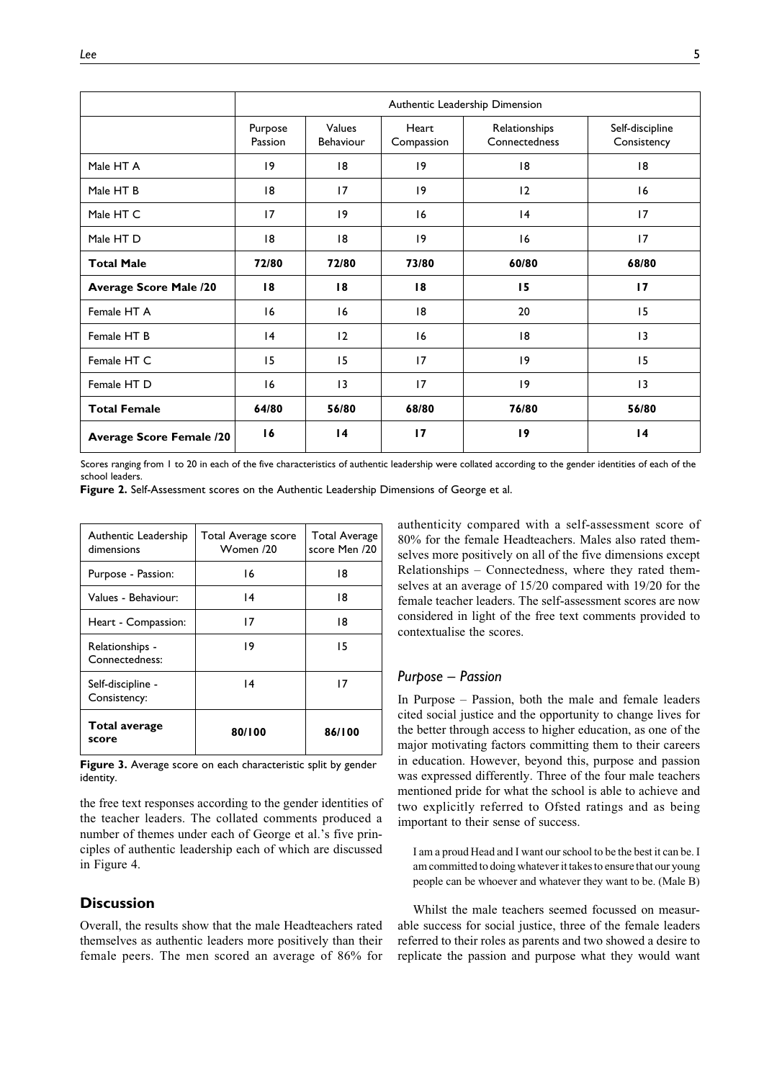|                                 | Authentic Leadership Dimension |                     |                     |                                |                                |
|---------------------------------|--------------------------------|---------------------|---------------------|--------------------------------|--------------------------------|
|                                 | Purpose<br>Passion             | Values<br>Behaviour | Heart<br>Compassion | Relationships<br>Connectedness | Self-discipline<br>Consistency |
| Male HT A                       | 19                             | 18                  | 9                   | 8                              | 8                              |
| Male HT B                       | 18                             | 17                  | 9                   | 12                             | 16                             |
| Male HT C                       | 17                             | 19                  | 16                  | 4                              | 17                             |
| Male HT D                       | 18                             | 18                  | 9                   | 16                             | 17                             |
| <b>Total Male</b>               | 72/80                          | 72/80               | 73/80               | 60/80                          | 68/80                          |
| <b>Average Score Male /20</b>   | 18                             | 18                  | 18                  | 15                             | 17                             |
| Female HT A                     | 16                             | 16                  | 8                   | 20                             | 15                             |
| Female HT B                     | 4                              | 12                  | 16                  | 8                              | $\overline{13}$                |
| Female HT C                     | 15                             | 15                  | 17                  | 19                             | 15                             |
| Female HT D                     | 16                             | $\overline{13}$     | 17                  | 9                              | $\overline{13}$                |
| <b>Total Female</b>             | 64/80                          | 56/80               | 68/80               | 76/80                          | 56/80                          |
| <b>Average Score Female /20</b> | 16                             | $\overline{14}$     | 17                  | 19                             | $\overline{14}$                |

Scores ranging from 1 to 20 in each of the five characteristics of authentic leadership were collated according to the gender identities of each of the school leaders.

**Figure 2.** Self-Assessment scores on the Authentic Leadership Dimensions of George et al.

| Authentic Leadership<br>dimensions | Total Average score<br>Women /20 | <b>Total Average</b><br>score Men /20 |
|------------------------------------|----------------------------------|---------------------------------------|
| Purpose - Passion:                 | 16                               | 18                                    |
| Values - Behaviour:                | 14                               | 18                                    |
| Heart - Compassion:                | 17                               | 18                                    |
| Relationships -<br>Connectedness:  | 19                               | 15                                    |
| Self-discipline -<br>Consistency:  | 14                               | 17                                    |
| <b>Total average</b><br>score      | 80/100                           | 86/100                                |

**Figure 3.** Average score on each characteristic split by gender identity.

the free text responses according to the gender identities of the teacher leaders. The collated comments produced a number of themes under each of George et al.'s five principles of authentic leadership each of which are discussed in Figure 4.

## **Discussion**

Overall, the results show that the male Headteachers rated themselves as authentic leaders more positively than their female peers. The men scored an average of 86% for authenticity compared with a self-assessment score of 80% for the female Headteachers. Males also rated themselves more positively on all of the five dimensions except Relationships – Connectedness, where they rated themselves at an average of 15/20 compared with 19/20 for the female teacher leaders. The self-assessment scores are now considered in light of the free text comments provided to contextualise the scores.

#### *Purpose – Passion*

In Purpose – Passion, both the male and female leaders cited social justice and the opportunity to change lives for the better through access to higher education, as one of the major motivating factors committing them to their careers in education. However, beyond this, purpose and passion was expressed differently. Three of the four male teachers mentioned pride for what the school is able to achieve and two explicitly referred to Ofsted ratings and as being important to their sense of success.

I am a proud Head and I want our school to be the best it can be. I am committed to doing whatever it takes to ensure that our young people can be whoever and whatever they want to be. (Male B)

Whilst the male teachers seemed focussed on measurable success for social justice, three of the female leaders referred to their roles as parents and two showed a desire to replicate the passion and purpose what they would want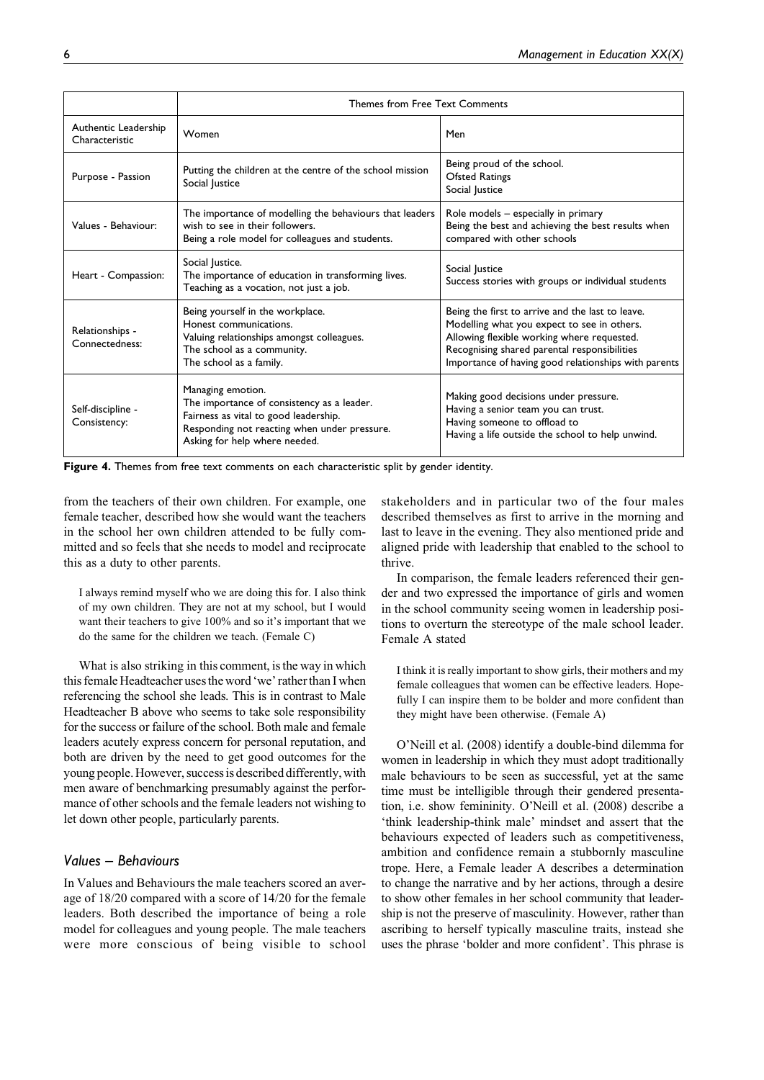|                                        | Themes from Free Text Comments                                                                                                                                                            |                                                                                                                                                                                                                                                       |  |
|----------------------------------------|-------------------------------------------------------------------------------------------------------------------------------------------------------------------------------------------|-------------------------------------------------------------------------------------------------------------------------------------------------------------------------------------------------------------------------------------------------------|--|
| Authentic Leadership<br>Characteristic | Women                                                                                                                                                                                     | Men                                                                                                                                                                                                                                                   |  |
| Purpose - Passion                      | Putting the children at the centre of the school mission<br>Social Justice                                                                                                                | Being proud of the school.<br><b>Ofsted Ratings</b><br>Social Justice                                                                                                                                                                                 |  |
| Values - Behaviour:                    | The importance of modelling the behaviours that leaders<br>wish to see in their followers.<br>Being a role model for colleagues and students.                                             | Role models - especially in primary<br>Being the best and achieving the best results when<br>compared with other schools                                                                                                                              |  |
| Heart - Compassion:                    | Social Justice.<br>The importance of education in transforming lives.<br>Teaching as a vocation, not just a job.                                                                          | Social Justice<br>Success stories with groups or individual students                                                                                                                                                                                  |  |
| Relationships -<br>Connectedness:      | Being yourself in the workplace.<br>Honest communications.<br>Valuing relationships amongst colleagues.<br>The school as a community.<br>The school as a family.                          | Being the first to arrive and the last to leave.<br>Modelling what you expect to see in others.<br>Allowing flexible working where requested.<br>Recognising shared parental responsibilities<br>Importance of having good relationships with parents |  |
| Self-discipline -<br>Consistency:      | Managing emotion.<br>The importance of consistency as a leader.<br>Fairness as vital to good leadership.<br>Responding not reacting when under pressure.<br>Asking for help where needed. | Making good decisions under pressure.<br>Having a senior team you can trust.<br>Having someone to offload to<br>Having a life outside the school to help unwind.                                                                                      |  |

**Figure 4.** Themes from free text comments on each characteristic split by gender identity.

from the teachers of their own children. For example, one female teacher, described how she would want the teachers in the school her own children attended to be fully committed and so feels that she needs to model and reciprocate this as a duty to other parents.

I always remind myself who we are doing this for. I also think of my own children. They are not at my school, but I would want their teachers to give 100% and so it's important that we do the same for the children we teach. (Female C)

What is also striking in this comment, is the way in which this female Headteacher usesthe word 'we' ratherthan I when referencing the school she leads. This is in contrast to Male Headteacher B above who seems to take sole responsibility for the success or failure of the school. Both male and female leaders acutely express concern for personal reputation, and both are driven by the need to get good outcomes for the young people. However, successis described differently, with men aware of benchmarking presumably against the performance of other schools and the female leaders not wishing to let down other people, particularly parents.

## *Values – Behaviours*

In Values and Behaviours the male teachers scored an average of 18/20 compared with a score of 14/20 for the female leaders. Both described the importance of being a role model for colleagues and young people. The male teachers were more conscious of being visible to school stakeholders and in particular two of the four males described themselves as first to arrive in the morning and last to leave in the evening. They also mentioned pride and aligned pride with leadership that enabled to the school to thrive.

In comparison, the female leaders referenced their gender and two expressed the importance of girls and women in the school community seeing women in leadership positions to overturn the stereotype of the male school leader. Female A stated

I think it is really important to show girls, their mothers and my female colleagues that women can be effective leaders. Hopefully I can inspire them to be bolder and more confident than they might have been otherwise. (Female A)

O'Neill et al. (2008) identify a double-bind dilemma for women in leadership in which they must adopt traditionally male behaviours to be seen as successful, yet at the same time must be intelligible through their gendered presentation, i.e. show femininity. O'Neill et al. (2008) describe a 'think leadership-think male' mindset and assert that the behaviours expected of leaders such as competitiveness, ambition and confidence remain a stubbornly masculine trope. Here, a Female leader A describes a determination to change the narrative and by her actions, through a desire to show other females in her school community that leadership is not the preserve of masculinity. However, rather than ascribing to herself typically masculine traits, instead she uses the phrase 'bolder and more confident'. This phrase is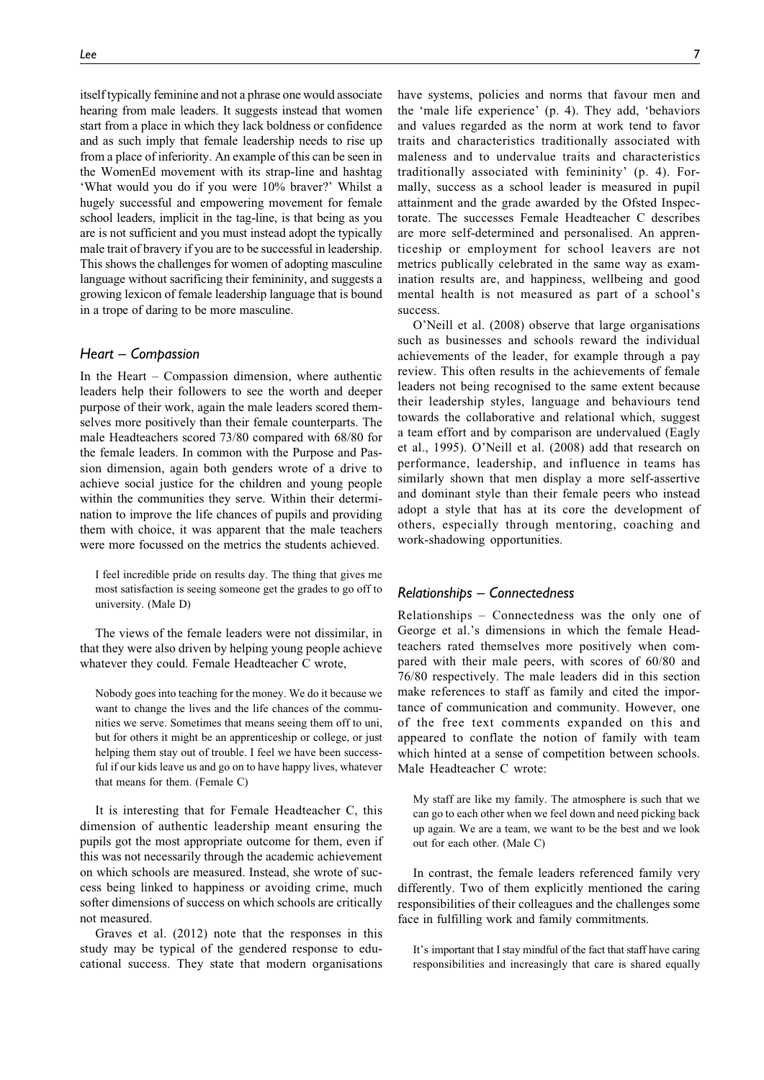itself typically feminine and not a phrase one would associate hearing from male leaders. It suggests instead that women start from a place in which they lack boldness or confidence and as such imply that female leadership needs to rise up from a place of inferiority. An example of this can be seen in the WomenEd movement with its strap-line and hashtag 'What would you do if you were 10% braver?' Whilst a hugely successful and empowering movement for female school leaders, implicit in the tag-line, is that being as you are is not sufficient and you must instead adopt the typically male trait of bravery if you are to be successful in leadership. This shows the challenges for women of adopting masculine language without sacrificing their femininity, and suggests a growing lexicon of female leadership language that is bound in a trope of daring to be more masculine.

#### *Heart – Compassion*

In the Heart – Compassion dimension, where authentic leaders help their followers to see the worth and deeper purpose of their work, again the male leaders scored themselves more positively than their female counterparts. The male Headteachers scored 73/80 compared with 68/80 for the female leaders. In common with the Purpose and Passion dimension, again both genders wrote of a drive to achieve social justice for the children and young people within the communities they serve. Within their determination to improve the life chances of pupils and providing them with choice, it was apparent that the male teachers were more focussed on the metrics the students achieved.

I feel incredible pride on results day. The thing that gives me most satisfaction is seeing someone get the grades to go off to university. (Male D)

The views of the female leaders were not dissimilar, in that they were also driven by helping young people achieve whatever they could. Female Headteacher C wrote,

Nobody goes into teaching for the money. We do it because we want to change the lives and the life chances of the communities we serve. Sometimes that means seeing them off to uni, but for others it might be an apprenticeship or college, or just helping them stay out of trouble. I feel we have been successful if our kids leave us and go on to have happy lives, whatever that means for them. (Female C)

It is interesting that for Female Headteacher C, this dimension of authentic leadership meant ensuring the pupils got the most appropriate outcome for them, even if this was not necessarily through the academic achievement on which schools are measured. Instead, she wrote of success being linked to happiness or avoiding crime, much softer dimensions of success on which schools are critically not measured.

Graves et al. (2012) note that the responses in this study may be typical of the gendered response to educational success. They state that modern organisations have systems, policies and norms that favour men and the 'male life experience' (p. 4). They add, 'behaviors and values regarded as the norm at work tend to favor traits and characteristics traditionally associated with maleness and to undervalue traits and characteristics traditionally associated with femininity' (p. 4). Formally, success as a school leader is measured in pupil attainment and the grade awarded by the Ofsted Inspectorate. The successes Female Headteacher C describes are more self-determined and personalised. An apprenticeship or employment for school leavers are not metrics publically celebrated in the same way as examination results are, and happiness, wellbeing and good mental health is not measured as part of a school's success.

O'Neill et al. (2008) observe that large organisations such as businesses and schools reward the individual achievements of the leader, for example through a pay review. This often results in the achievements of female leaders not being recognised to the same extent because their leadership styles, language and behaviours tend towards the collaborative and relational which, suggest a team effort and by comparison are undervalued (Eagly et al., 1995). O'Neill et al. (2008) add that research on performance, leadership, and influence in teams has similarly shown that men display a more self-assertive and dominant style than their female peers who instead adopt a style that has at its core the development of others, especially through mentoring, coaching and work-shadowing opportunities.

#### *Relationships – Connectedness*

Relationships – Connectedness was the only one of George et al.'s dimensions in which the female Headteachers rated themselves more positively when compared with their male peers, with scores of 60/80 and 76/80 respectively. The male leaders did in this section make references to staff as family and cited the importance of communication and community. However, one of the free text comments expanded on this and appeared to conflate the notion of family with team which hinted at a sense of competition between schools. Male Headteacher C wrote:

My staff are like my family. The atmosphere is such that we can go to each other when we feel down and need picking back up again. We are a team, we want to be the best and we look out for each other. (Male C)

In contrast, the female leaders referenced family very differently. Two of them explicitly mentioned the caring responsibilities of their colleagues and the challenges some face in fulfilling work and family commitments.

It's important that I stay mindful of the fact that staff have caring responsibilities and increasingly that care is shared equally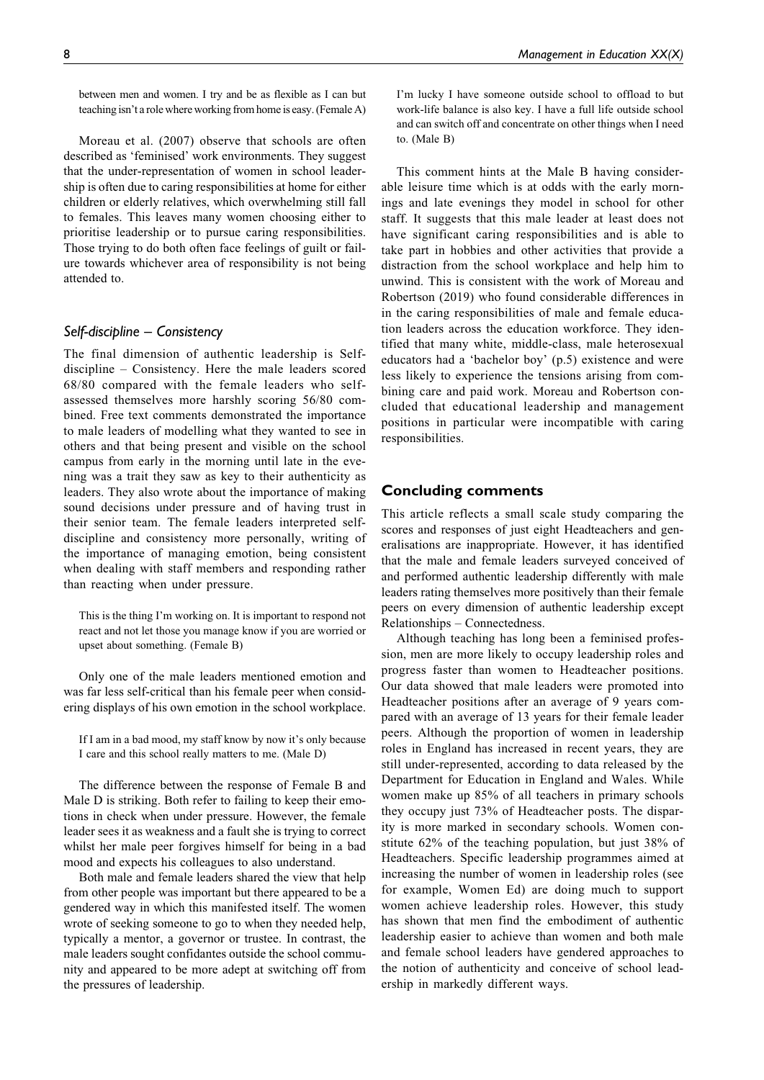between men and women. I try and be as flexible as I can but teaching isn't a role where working from home is easy. (Female A)

Moreau et al. (2007) observe that schools are often described as 'feminised' work environments. They suggest that the under-representation of women in school leadership is often due to caring responsibilities at home for either children or elderly relatives, which overwhelming still fall to females. This leaves many women choosing either to prioritise leadership or to pursue caring responsibilities. Those trying to do both often face feelings of guilt or failure towards whichever area of responsibility is not being attended to.

# *Self-discipline – Consistency*

The final dimension of authentic leadership is Selfdiscipline – Consistency. Here the male leaders scored 68/80 compared with the female leaders who selfassessed themselves more harshly scoring 56/80 combined. Free text comments demonstrated the importance to male leaders of modelling what they wanted to see in others and that being present and visible on the school campus from early in the morning until late in the evening was a trait they saw as key to their authenticity as leaders. They also wrote about the importance of making sound decisions under pressure and of having trust in their senior team. The female leaders interpreted selfdiscipline and consistency more personally, writing of the importance of managing emotion, being consistent when dealing with staff members and responding rather than reacting when under pressure.

This is the thing I'm working on. It is important to respond not react and not let those you manage know if you are worried or upset about something. (Female B)

Only one of the male leaders mentioned emotion and was far less self-critical than his female peer when considering displays of his own emotion in the school workplace.

If I am in a bad mood, my staff know by now it's only because I care and this school really matters to me. (Male D)

The difference between the response of Female B and Male D is striking. Both refer to failing to keep their emotions in check when under pressure. However, the female leader sees it as weakness and a fault she is trying to correct whilst her male peer forgives himself for being in a bad mood and expects his colleagues to also understand.

Both male and female leaders shared the view that help from other people was important but there appeared to be a gendered way in which this manifested itself. The women wrote of seeking someone to go to when they needed help, typically a mentor, a governor or trustee. In contrast, the male leaders sought confidantes outside the school community and appeared to be more adept at switching off from the pressures of leadership.

I'm lucky I have someone outside school to offload to but work-life balance is also key. I have a full life outside school and can switch off and concentrate on other things when I need to. (Male B)

This comment hints at the Male B having considerable leisure time which is at odds with the early mornings and late evenings they model in school for other staff. It suggests that this male leader at least does not have significant caring responsibilities and is able to take part in hobbies and other activities that provide a distraction from the school workplace and help him to unwind. This is consistent with the work of Moreau and Robertson (2019) who found considerable differences in in the caring responsibilities of male and female education leaders across the education workforce. They identified that many white, middle-class, male heterosexual educators had a 'bachelor boy' (p.5) existence and were less likely to experience the tensions arising from combining care and paid work. Moreau and Robertson concluded that educational leadership and management positions in particular were incompatible with caring responsibilities.

# **Concluding comments**

This article reflects a small scale study comparing the scores and responses of just eight Headteachers and generalisations are inappropriate. However, it has identified that the male and female leaders surveyed conceived of and performed authentic leadership differently with male leaders rating themselves more positively than their female peers on every dimension of authentic leadership except Relationships – Connectedness.

Although teaching has long been a feminised profession, men are more likely to occupy leadership roles and progress faster than women to Headteacher positions. Our data showed that male leaders were promoted into Headteacher positions after an average of 9 years compared with an average of 13 years for their female leader peers. Although the proportion of women in leadership roles in England has increased in recent years, they are still under-represented, according to data released by the Department for Education in England and Wales. While women make up 85% of all teachers in primary schools they occupy just 73% of Headteacher posts. The disparity is more marked in secondary schools. Women constitute 62% of the teaching population, but just 38% of Headteachers. Specific leadership programmes aimed at increasing the number of women in leadership roles (see for example, Women Ed) are doing much to support women achieve leadership roles. However, this study has shown that men find the embodiment of authentic leadership easier to achieve than women and both male and female school leaders have gendered approaches to the notion of authenticity and conceive of school leadership in markedly different ways.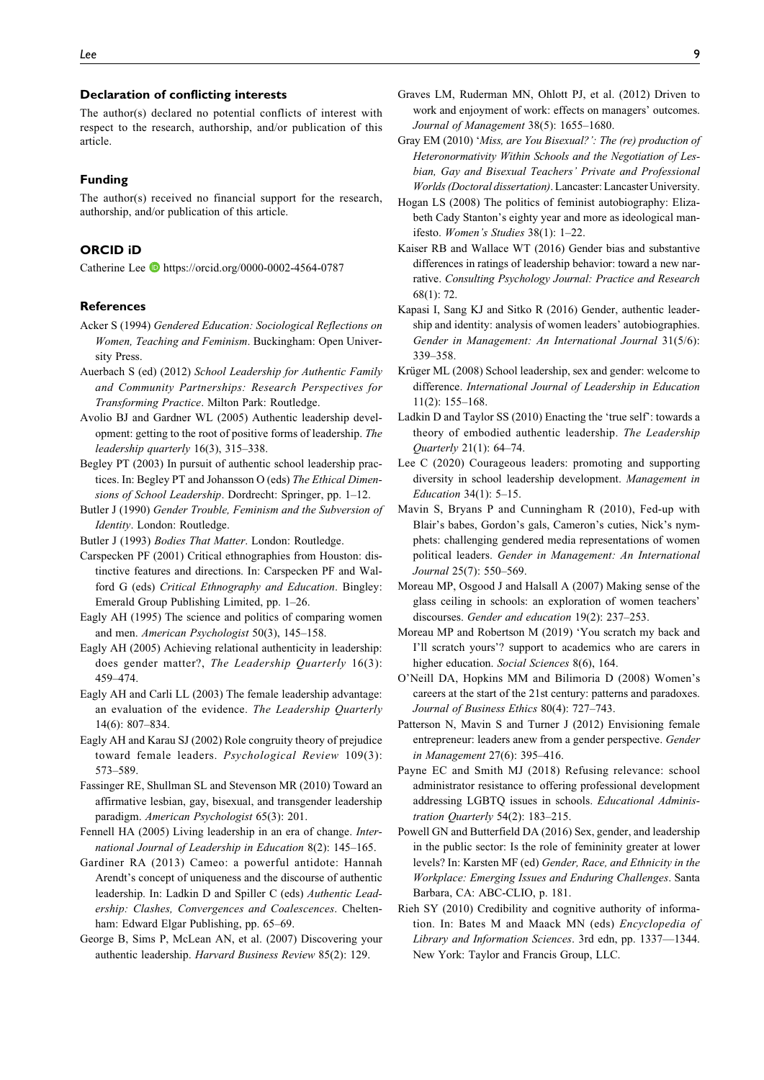#### **Declaration of conflicting interests**

The author(s) declared no potential conflicts of interest with respect to the research, authorship, and/or publication of this article.

#### **Funding**

The author(s) received no financial support for the research, authorship, and/or publication of this article.

## **ORCID iD**

Catherine Lee D <https://orcid.org/0000-0002-4564-0787>

#### **References**

- Acker S (1994) Gendered Education: Sociological Reflections on Women, Teaching and Feminism. Buckingham: Open University Press.
- Auerbach S (ed) (2012) School Leadership for Authentic Family and Community Partnerships: Research Perspectives for Transforming Practice. Milton Park: Routledge.
- Avolio BJ and Gardner WL (2005) Authentic leadership development: getting to the root of positive forms of leadership. The leadership quarterly 16(3), 315–338.
- Begley PT (2003) In pursuit of authentic school leadership practices. In: Begley PT and Johansson O (eds) The Ethical Dimensions of School Leadership. Dordrecht: Springer, pp. 1–12.
- Butler J (1990) Gender Trouble, Feminism and the Subversion of Identity. London: Routledge.
- Butler J (1993) Bodies That Matter. London: Routledge.
- Carspecken PF (2001) Critical ethnographies from Houston: distinctive features and directions. In: Carspecken PF and Walford G (eds) Critical Ethnography and Education. Bingley: Emerald Group Publishing Limited, pp. 1–26.
- Eagly AH (1995) The science and politics of comparing women and men. American Psychologist 50(3), 145–158.
- Eagly AH (2005) Achieving relational authenticity in leadership: does gender matter?, The Leadership Quarterly 16(3): 459–474.
- Eagly AH and Carli LL (2003) The female leadership advantage: an evaluation of the evidence. The Leadership Quarterly 14(6): 807–834.
- Eagly AH and Karau SJ (2002) Role congruity theory of prejudice toward female leaders. Psychological Review 109(3): 573–589.
- Fassinger RE, Shullman SL and Stevenson MR (2010) Toward an affirmative lesbian, gay, bisexual, and transgender leadership paradigm. American Psychologist 65(3): 201.
- Fennell HA (2005) Living leadership in an era of change. International Journal of Leadership in Education 8(2): 145–165.
- Gardiner RA (2013) Cameo: a powerful antidote: Hannah Arendt's concept of uniqueness and the discourse of authentic leadership. In: Ladkin D and Spiller C (eds) Authentic Leadership: Clashes, Convergences and Coalescences. Cheltenham: Edward Elgar Publishing, pp. 65–69.
- George B, Sims P, McLean AN, et al. (2007) Discovering your authentic leadership. Harvard Business Review 85(2): 129.
- Graves LM, Ruderman MN, Ohlott PJ, et al. (2012) Driven to work and enjoyment of work: effects on managers' outcomes. Journal of Management 38(5): 1655–1680.
- Gray EM (2010) 'Miss, are You Bisexual?': The (re) production of Heteronormativity Within Schools and the Negotiation of Lesbian, Gay and Bisexual Teachers' Private and Professional Worlds (Doctoral dissertation). Lancaster: Lancaster University.
- Hogan LS (2008) The politics of feminist autobiography: Elizabeth Cady Stanton's eighty year and more as ideological manifesto. Women's Studies 38(1): 1–22.
- Kaiser RB and Wallace WT (2016) Gender bias and substantive differences in ratings of leadership behavior: toward a new narrative. Consulting Psychology Journal: Practice and Research 68(1): 72.
- Kapasi I, Sang KJ and Sitko R (2016) Gender, authentic leadership and identity: analysis of women leaders' autobiographies. Gender in Management: An International Journal 31(5/6): 339–358.
- Krüger ML (2008) School leadership, sex and gender: welcome to difference. International Journal of Leadership in Education 11(2): 155–168.
- Ladkin D and Taylor SS (2010) Enacting the 'true self': towards a theory of embodied authentic leadership. The Leadership Quarterly 21(1): 64–74.
- Lee C (2020) Courageous leaders: promoting and supporting diversity in school leadership development. Management in Education 34(1): 5–15.
- Mavin S, Bryans P and Cunningham R (2010), Fed-up with Blair's babes, Gordon's gals, Cameron's cuties, Nick's nymphets: challenging gendered media representations of women political leaders. Gender in Management: An International Journal 25(7): 550–569.
- Moreau MP, Osgood J and Halsall A (2007) Making sense of the glass ceiling in schools: an exploration of women teachers' discourses. Gender and education 19(2): 237–253.
- Moreau MP and Robertson M (2019) 'You scratch my back and I'll scratch yours'? support to academics who are carers in higher education. Social Sciences 8(6), 164.
- O'Neill DA, Hopkins MM and Bilimoria D (2008) Women's careers at the start of the 21st century: patterns and paradoxes. Journal of Business Ethics 80(4): 727–743.
- Patterson N, Mavin S and Turner J (2012) Envisioning female entrepreneur: leaders anew from a gender perspective. Gender in Management 27(6): 395–416.
- Payne EC and Smith MJ (2018) Refusing relevance: school administrator resistance to offering professional development addressing LGBTQ issues in schools. Educational Administration Quarterly 54(2): 183–215.
- Powell GN and Butterfield DA (2016) Sex, gender, and leadership in the public sector: Is the role of femininity greater at lower levels? In: Karsten MF (ed) Gender, Race, and Ethnicity in the Workplace: Emerging Issues and Enduring Challenges. Santa Barbara, CA: ABC-CLIO, p. 181.
- Rieh SY (2010) Credibility and cognitive authority of information. In: Bates M and Maack MN (eds) Encyclopedia of Library and Information Sciences. 3rd edn, pp. 1337—1344. New York: Taylor and Francis Group, LLC.